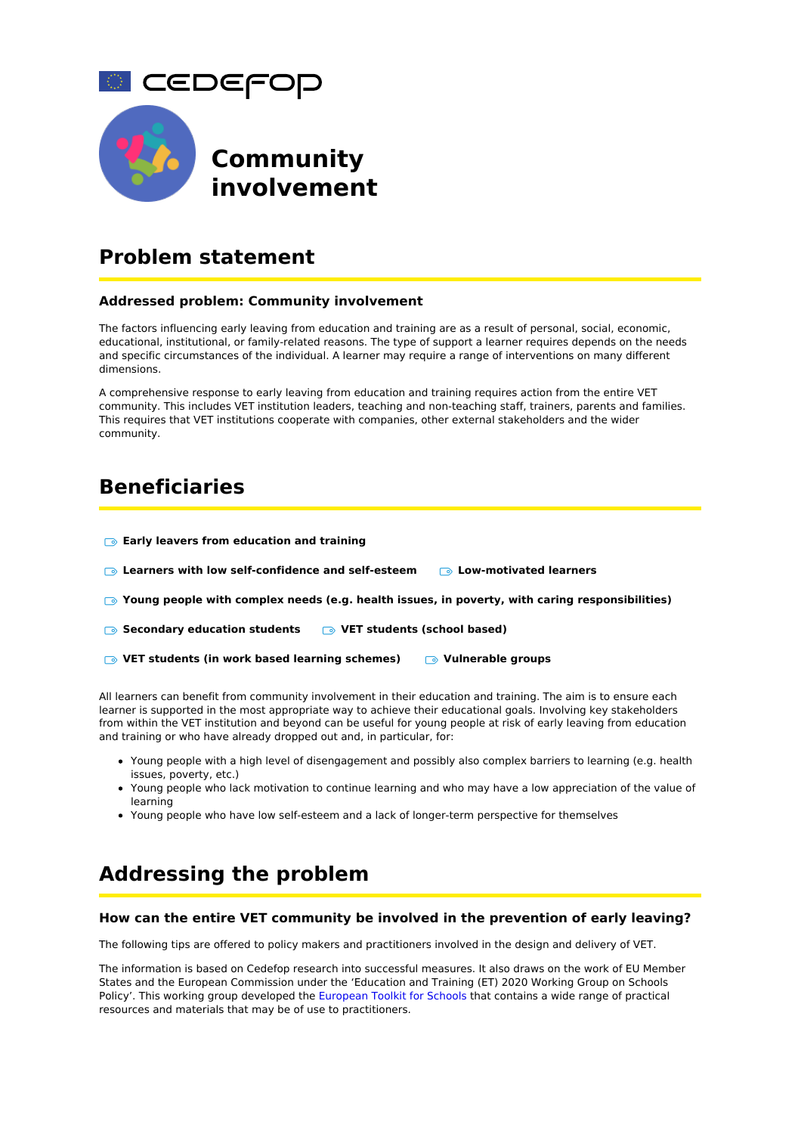

# **Problem statement**

#### **Addressed problem: Community involvement**

The factors influencing early leaving from education and training are as a result of personal, social, economic, educational, institutional, or family-related reasons. The type of support a learner requires depends on the needs and specific circumstances of the individual. A learner may require a range of interventions on many different dimensions.

A comprehensive response to early leaving from education and training requires action from the entire VET community. This includes VET institution leaders, teaching and non-teaching staff, trainers, parents and families. This requires that VET institutions cooperate with companies, other external stakeholders and the wider community.

# **Beneficiaries**

| <b>Early leavers from education and training</b>                                                         |                                         |
|----------------------------------------------------------------------------------------------------------|-----------------------------------------|
| <b>Example 16 Learners with low self-confidence and self-esteem</b>                                      | <b>Example 2 Cow-motivated learners</b> |
| $\bullet$ Young people with complex needs (e.g. health issues, in poverty, with caring responsibilities) |                                         |

- **Secondary education students VET students (school based)**
- **VET students (in work based learning schemes) Vulnerable groups**

All learners can benefit from community involvement in their education and training. The aim is to ensure each learner is supported in the most appropriate way to achieve their educational goals. Involving key stakeholders from within the VET institution and beyond can be useful for young people at risk of early leaving from education and training or who have already dropped out and, in particular, for:

- Young people with a high level of disengagement and possibly also complex barriers to learning (e.g. health issues, poverty, etc.)
- Young people who lack motivation to continue learning and who may have a low appreciation of the value of learning
- Young people who have low self-esteem and a lack of longer-term perspective for themselves

# **Addressing the problem**

#### **How can the entire VET community be involved in the prevention of early leaving?**

The following tips are offered to policy makers and practitioners involved in the design and delivery of VET.

The information is based on Cedefop research into successful measures. It also draws on the work of EU Member States and the European Commission under the 'Education and Training (ET) 2020 Working Group on Schools Policy'. This working group developed the [European](http://www.schooleducationgateway.eu/en/pub/resources/toolkitsforschools.htm) Toolkit for Schools that contains a wide range of practical resources and materials that may be of use to practitioners.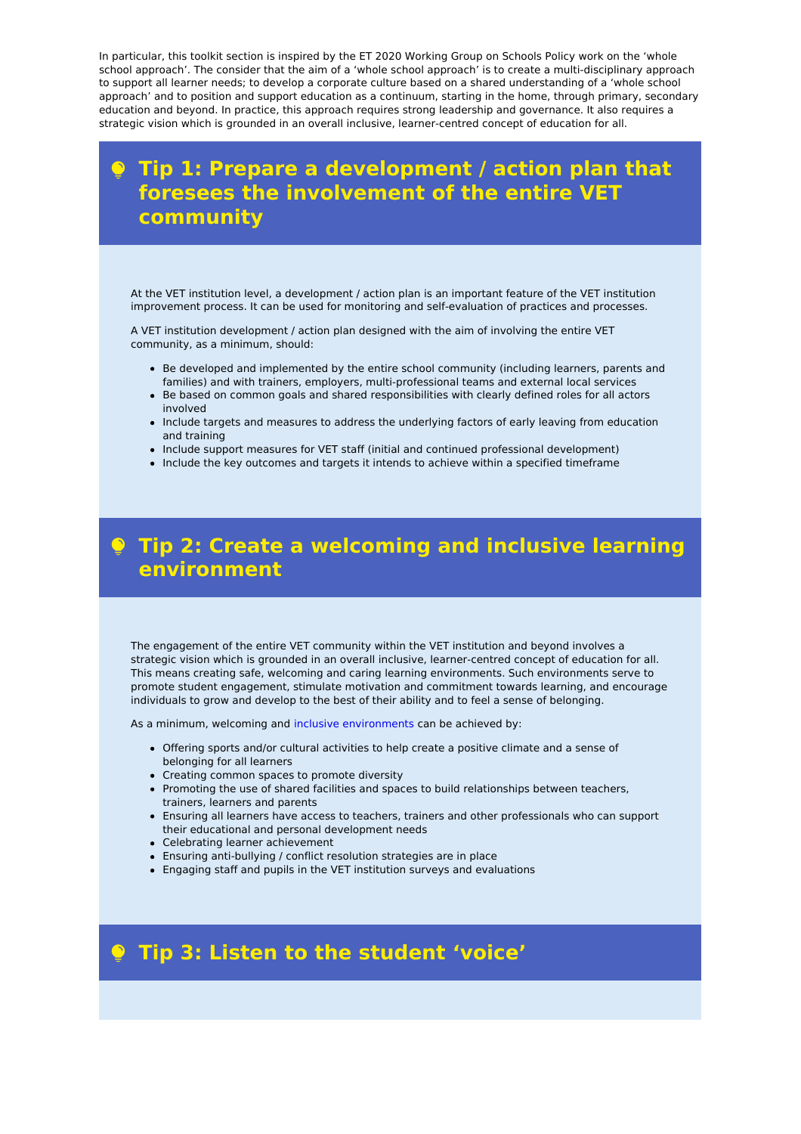In particular, this toolkit section is inspired by the ET 2020 Working Group on Schools Policy work on the 'whole school approach'. The consider that the aim of a 'whole school approach' is to create a multi-disciplinary approach to support all learner needs; to develop a corporate culture based on a shared understanding of a 'whole school approach' and to position and support education as a continuum, starting in the home, through primary, secondary education and beyond. In practice, this approach requires strong leadership and governance. It also requires a strategic vision which is grounded in an overall inclusive, learner-centred concept of education for all.

# **Tip 1: Prepare a development / action plan that foresees the involvement of the entire VET community**

At the VET institution level, a development / action plan is an important feature of the VET institution improvement process. It can be used for monitoring and self-evaluation of practices and processes.

A VET institution development / action plan designed with the aim of involving the entire VET community, as a minimum, should:

- Be developed and implemented by the entire school community (including learners, parents and families) and with trainers, employers, multi-professional teams and external local services
- Be based on common goals and shared responsibilities with clearly defined roles for all actors involved
- Include targets and measures to address the underlying factors of early leaving from education and training
- Include support measures for VET staff (initial and continued professional development)
- Include the key outcomes and targets it intends to achieve within a specified timeframe

# **Tip 2: Create a welcoming and inclusive learning environment**

The engagement of the entire VET community within the VET institution and beyond involves a strategic vision which is grounded in an overall inclusive, learner-centred concept of education for all. This means creating safe, welcoming and caring learning environments. Such environments serve to promote student engagement, stimulate motivation and commitment towards learning, and encourage individuals to grow and develop to the best of their ability and to feel a sense of belonging.

As a minimum, welcoming and inclusive [environments](https://www.cedefop.europa.eu/publications-and-resources/toolkits/vet-toolkit-upskilling-pathways/intervene/intervention-approaches/fostering-inclusive-supportive-work-based-learning-environments) can be achieved by:

- Offering sports and/or cultural activities to help create a positive climate and a sense of belonging for all learners
- Creating common spaces to promote diversity
- Promoting the use of shared facilities and spaces to build relationships between teachers, trainers, learners and parents
- Ensuring all learners have access to teachers, trainers and other professionals who can support their educational and personal development needs
- Celebrating learner achievement
- Ensuring anti-bullying / conflict resolution strategies are in place
- Engaging staff and pupils in the VET institution surveys and evaluations

# **Tip 3: Listen to the student 'voice'**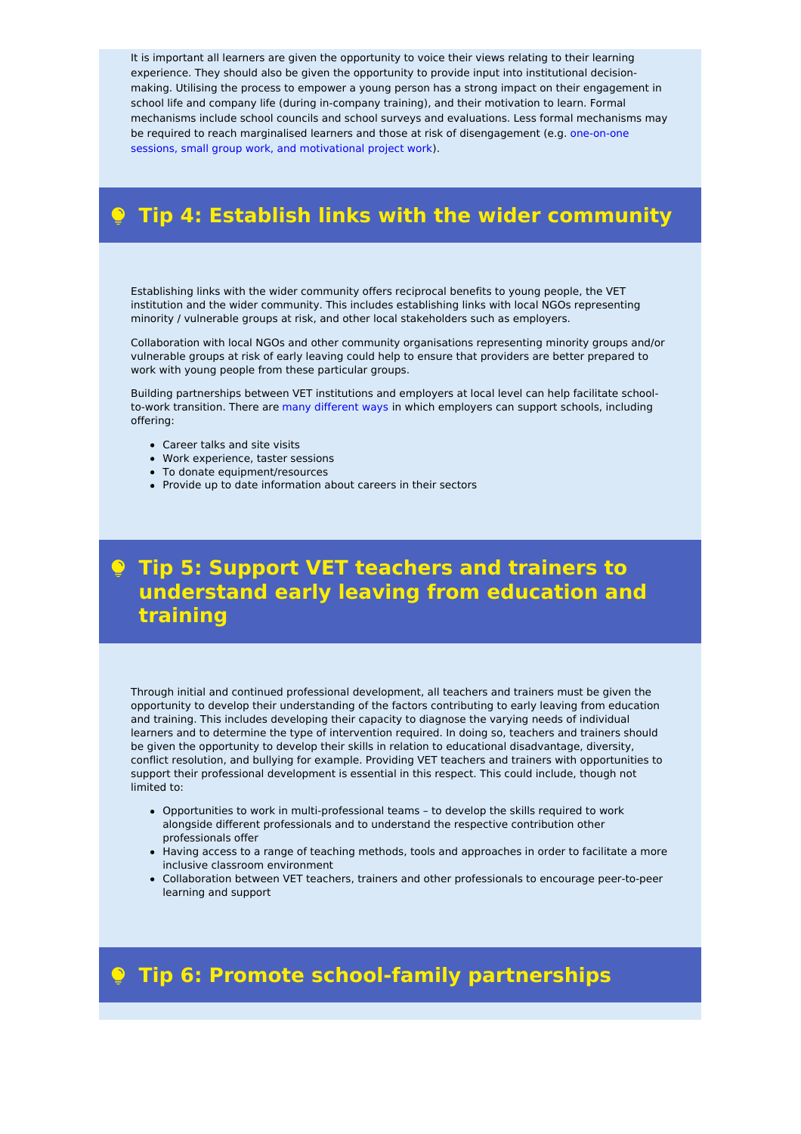It is important all learners are given the opportunity to voice their views relating to their learning experience. They should also be given the opportunity to provide input into institutional decisionmaking. Utilising the process to empower a young person has a strong impact on their engagement in school life and company life (during in-company training), and their motivation to learn. Formal mechanisms include school councils and school surveys and evaluations. Less formal mechanisms may be required to reach marginalised learners and those at risk of [disengagement](https://www.cedefop.europa.eu/publications-and-resources/toolkits/vet-toolkit-upskilling-pathways/intervene/intervention-approaches/tailoring-learning-pathways) (e.g. one-on-one sessions, small group work, and motivational project work).

# **Tip 4: Establish links with the wider community**

Establishing links with the wider community offers reciprocal benefits to young people, the VET institution and the wider community. This includes establishing links with local NGOs representing minority / vulnerable groups at risk, and other local stakeholders such as employers.

Collaboration with local NGOs and other community organisations representing minority groups and/or vulnerable groups at risk of early leaving could help to ensure that providers are better prepared to work with young people from these particular groups.

Building partnerships between VET institutions and employers at local level can help facilitate schoolto-work transition. There are many [different](https://www.cedefop.europa.eu/publications-and-resources/toolkits/vet-toolkit-upskilling-pathways/intervene/intervention-approaches/providing-work-based-learning-close-to-real-simulations) ways in which employers can support schools, including offering:

- Career talks and site visits
- Work experience, taster sessions
- To donate equipment/resources
- Provide up to date information about careers in their sectors

# **Tip 5: Support VET teachers and trainers to understand early leaving from education and training**

Through initial and continued professional development, all teachers and trainers must be given the opportunity to develop their understanding of the factors contributing to early leaving from education and training. This includes developing their capacity to diagnose the varying needs of individual learners and to determine the type of intervention required. In doing so, teachers and trainers should be given the opportunity to develop their skills in relation to educational disadvantage, diversity, conflict resolution, and bullying for example. Providing VET teachers and trainers with opportunities to support their professional development is essential in this respect. This could include, though not limited to:

- Opportunities to work in multi-professional teams to develop the skills required to work alongside different professionals and to understand the respective contribution other professionals offer
- Having access to a range of teaching methods, tools and approaches in order to facilitate a more inclusive classroom environment
- Collaboration between VET teachers, trainers and other professionals to encourage peer-to-peer learning and support

# **Tip 6: Promote school-family partnerships**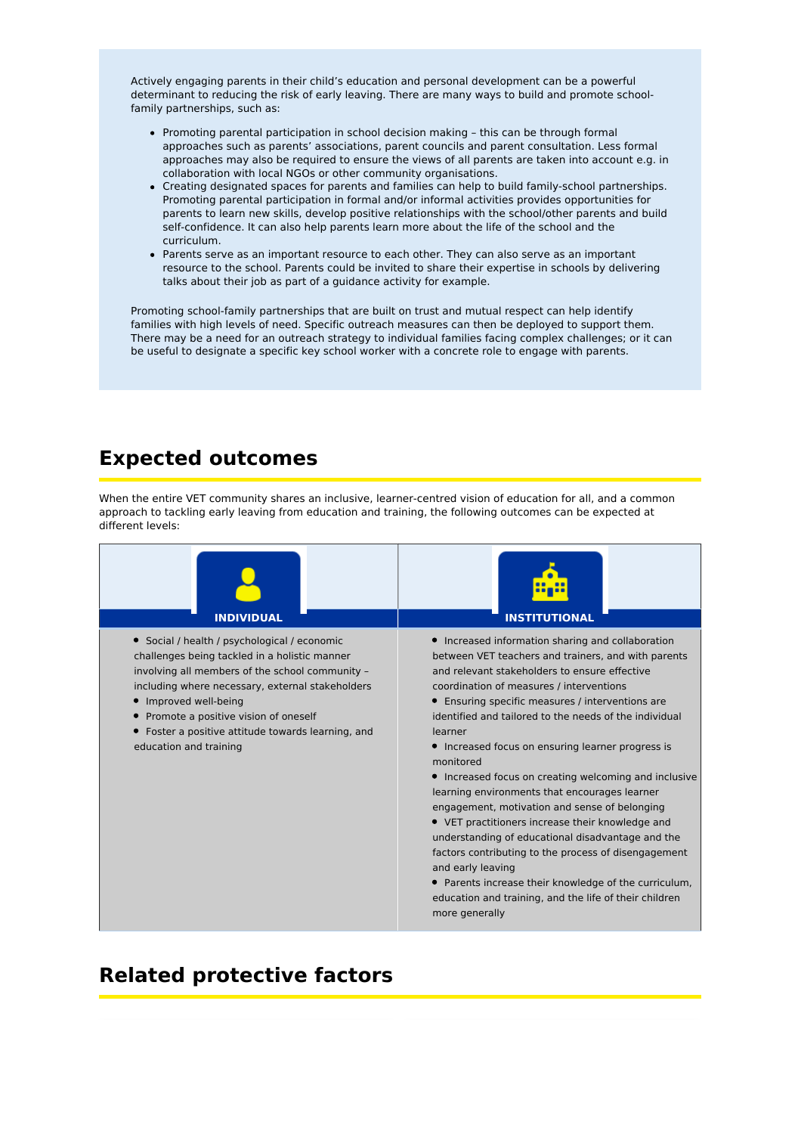Actively engaging parents in their child's education and personal development can be a powerful determinant to reducing the risk of early leaving. There are many ways to build and promote schoolfamily partnerships, such as:

- Promoting parental participation in school decision making this can be through formal approaches such as parents' associations, parent councils and parent consultation. Less formal approaches may also be required to ensure the views of all parents are taken into account e.g. in collaboration with local NGOs or other community organisations.
- Creating designated spaces for parents and families can help to build family-school partnerships. Promoting parental participation in formal and/or informal activities provides opportunities for parents to learn new skills, develop positive relationships with the school/other parents and build self-confidence. It can also help parents learn more about the life of the school and the curriculum.
- Parents serve as an important resource to each other. They can also serve as an important resource to the school. Parents could be invited to share their expertise in schools by delivering talks about their job as part of a guidance activity for example.

Promoting school-family partnerships that are built on trust and mutual respect can help identify families with high levels of need. Specific outreach measures can then be deployed to support them. There may be a need for an outreach strategy to individual families facing complex challenges; or it can be useful to designate a specific key school worker with a concrete role to engage with parents.

# **Expected outcomes**

When the entire VET community shares an inclusive, learner-centred vision of education for all, and a common approach to tackling early leaving from education and training, the following outcomes can be expected at different levels:



# **Related protective factors**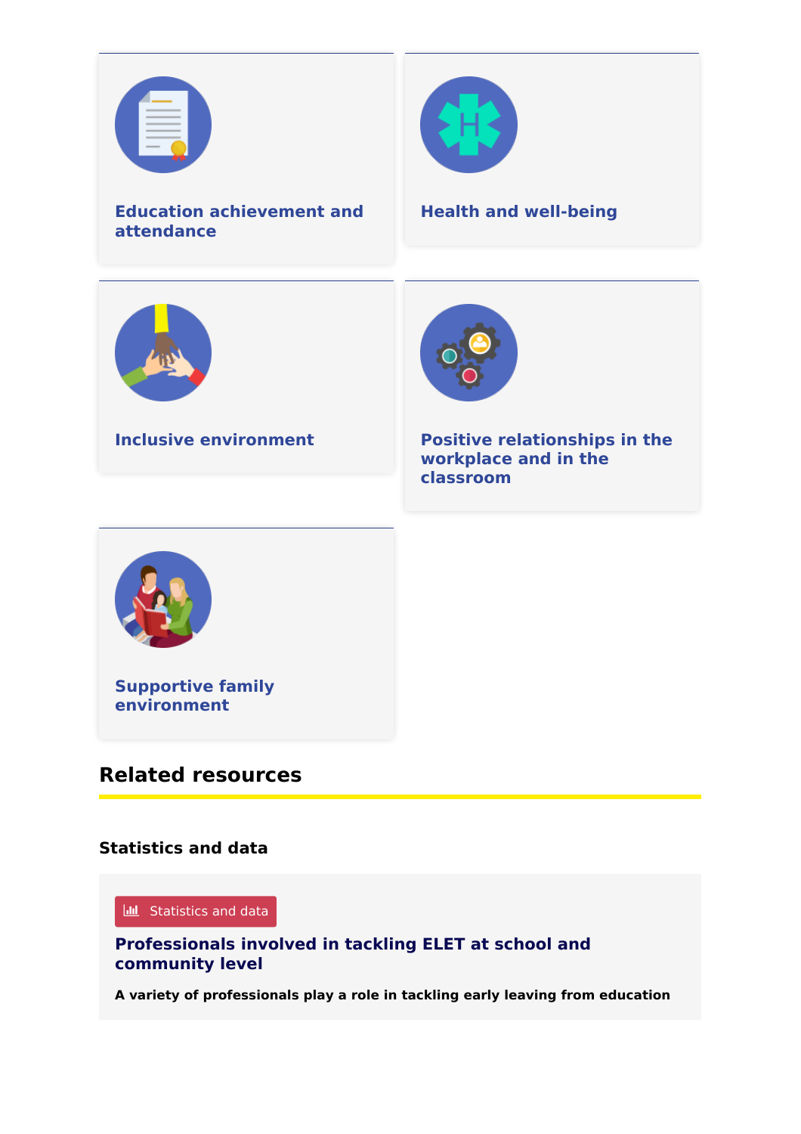



# **Related resources**

# **Statistics and data**

### **III** Statistics and data

**[Professionals](https://www.cedefop.europa.eu/en/tools/vet-toolkit-tackling-early-leaving/resources/vet-toolkit-upskilling-pathways/best-practices/professionals-involved-tackling-elet-school) involved in tackling ELET at school and community level**

**A variety of professionals play a role in tackling early leaving from education**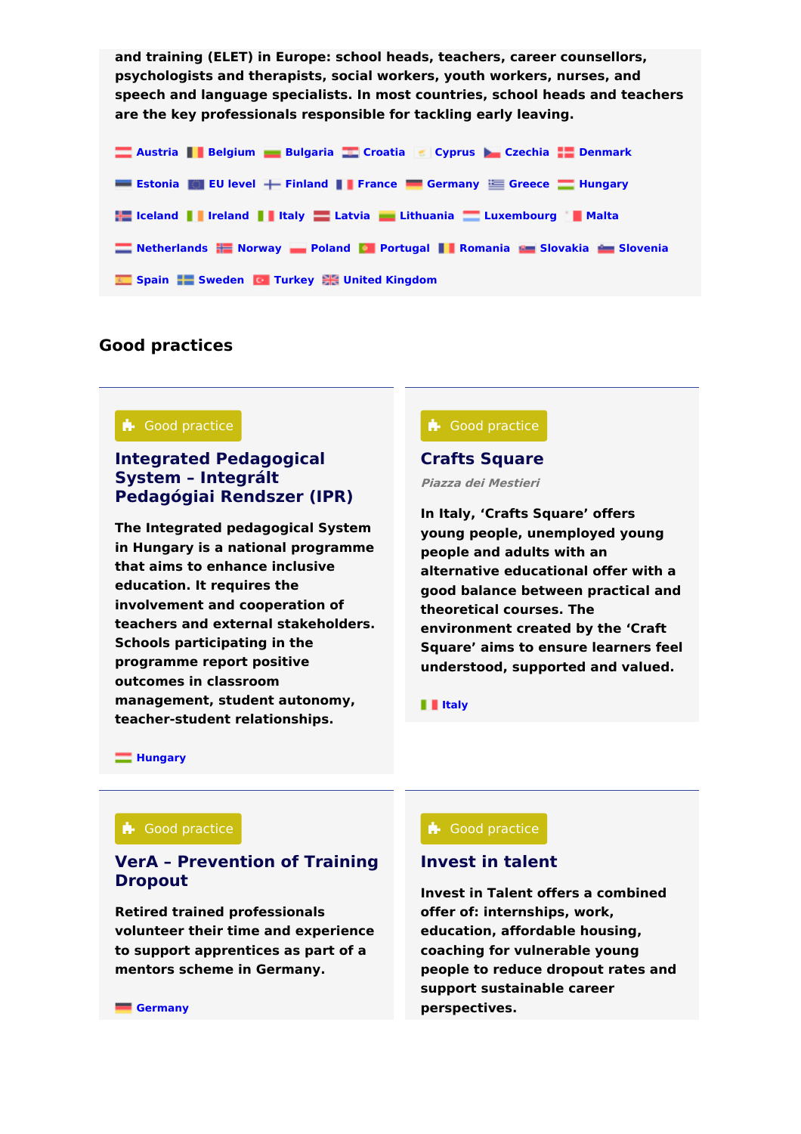**and training (ELET) in Europe: school heads, teachers, career counsellors, psychologists and therapists, social workers, youth workers, nurses, and speech and language specialists. In most countries, school heads and teachers are the key professionals responsible for tackling early leaving.**

**[Austria](https://www.cedefop.europa.eu/tools/vet-toolkit-tackling-early-leaving/resources?country%255B317%255D=317) [Belgium](https://www.cedefop.europa.eu/tools/vet-toolkit-tackling-early-leaving/resources?country%255B318%255D=318) [Bulgaria](https://www.cedefop.europa.eu/tools/vet-toolkit-tackling-early-leaving/resources?country%255B319%255D=319) [Croatia](https://www.cedefop.europa.eu/tools/vet-toolkit-tackling-early-leaving/resources?country%255B329%255D=329) [Cyprus](https://www.cedefop.europa.eu/tools/vet-toolkit-tackling-early-leaving/resources?country%255B320%255D=320) [Czechia](https://www.cedefop.europa.eu/tools/vet-toolkit-tackling-early-leaving/resources?country%255B321%255D=321) [Denmark](https://www.cedefop.europa.eu/tools/vet-toolkit-tackling-early-leaving/resources?country%255B322%255D=322) [Estonia](https://www.cedefop.europa.eu/tools/vet-toolkit-tackling-early-leaving/resources?country%255B323%255D=323) EU [level](https://www.cedefop.europa.eu/tools/vet-toolkit-tackling-early-leaving/resources?country%255B347%255D=347) [Finland](https://www.cedefop.europa.eu/tools/vet-toolkit-tackling-early-leaving/resources?country%255B324%255D=324) [France](https://www.cedefop.europa.eu/tools/vet-toolkit-tackling-early-leaving/resources?country%255B325%255D=325) [Germany](https://www.cedefop.europa.eu/tools/vet-toolkit-tackling-early-leaving/resources?country%255B326%255D=326) [Greece](https://www.cedefop.europa.eu/tools/vet-toolkit-tackling-early-leaving/resources?country%255B327%255D=327) [Hungary](https://www.cedefop.europa.eu/tools/vet-toolkit-tackling-early-leaving/resources?country%255B328%255D=328) [Iceland](https://www.cedefop.europa.eu/tools/vet-toolkit-tackling-early-leaving/resources?country%255B345%255D=345) [Ireland](https://www.cedefop.europa.eu/tools/vet-toolkit-tackling-early-leaving/resources?country%255B330%255D=330) [Italy](https://www.cedefop.europa.eu/tools/vet-toolkit-tackling-early-leaving/resources?country%255B331%255D=331) [Latvia](https://www.cedefop.europa.eu/tools/vet-toolkit-tackling-early-leaving/resources?country%255B332%255D=332) [Lithuania](https://www.cedefop.europa.eu/tools/vet-toolkit-tackling-early-leaving/resources?country%255B333%255D=333) [Luxembourg](https://www.cedefop.europa.eu/tools/vet-toolkit-tackling-early-leaving/resources?country%255B334%255D=334) [Malta](https://www.cedefop.europa.eu/tools/vet-toolkit-tackling-early-leaving/resources?country%255B335%255D=335) [Netherlands](https://www.cedefop.europa.eu/tools/vet-toolkit-tackling-early-leaving/resources?country%255B336%255D=336) [Norway](https://www.cedefop.europa.eu/tools/vet-toolkit-tackling-early-leaving/resources?country%255B346%255D=346) [Poland](https://www.cedefop.europa.eu/tools/vet-toolkit-tackling-early-leaving/resources?country%255B337%255D=337) [Portugal](https://www.cedefop.europa.eu/tools/vet-toolkit-tackling-early-leaving/resources?country%255B338%255D=338) [Romania](https://www.cedefop.europa.eu/tools/vet-toolkit-tackling-early-leaving/resources?country%255B339%255D=339) [Slovakia](https://www.cedefop.europa.eu/tools/vet-toolkit-tackling-early-leaving/resources?country%255B340%255D=340) [Slovenia](https://www.cedefop.europa.eu/tools/vet-toolkit-tackling-early-leaving/resources?country%255B341%255D=341) [Spain](https://www.cedefop.europa.eu/tools/vet-toolkit-tackling-early-leaving/resources?country%255B343%255D=343) [Sweden](https://www.cedefop.europa.eu/tools/vet-toolkit-tackling-early-leaving/resources?country%255B342%255D=342) [Turkey](https://www.cedefop.europa.eu/tools/vet-toolkit-tackling-early-leaving/resources?country%255B350%255D=350) United [Kingdom](https://www.cedefop.europa.eu/tools/vet-toolkit-tackling-early-leaving/resources?country%255B344%255D=344)**

# **Good practices**

### **A** Good practice

# **Integrated [Pedagogical](https://www.cedefop.europa.eu/en/tools/vet-toolkit-tackling-early-leaving/resources/integrated-pedagogical-system-integralt) System – Integrált Pedagógiai Rendszer (IPR)**

**The Integrated pedagogical System in Hungary is a national programme that aims to enhance inclusive education. It requires the involvement and cooperation of teachers and external stakeholders. Schools participating in the programme report positive outcomes in classroom management, student autonomy, teacher-student relationships.**

### **A** Good practice

### **Crafts [Square](https://www.cedefop.europa.eu/en/tools/vet-toolkit-tackling-early-leaving/resources/crafts-square)**

**Piazza dei Mestieri**

**In Italy, 'Crafts Square' offers young people, unemployed young people and adults with an alternative educational offer with a good balance between practical and theoretical courses. The environment created by the 'Craft Square' aims to ensure learners feel understood, supported and valued.**

### **II** [Italy](https://www.cedefop.europa.eu/tools/vet-toolkit-tackling-early-leaving/resources?country%255B331%255D=331)

**[Hungary](https://www.cedefop.europa.eu/tools/vet-toolkit-tackling-early-leaving/resources?country%255B328%255D=328)**

### **A** Good practice

# **VerA – [Prevention](https://www.cedefop.europa.eu/en/tools/vet-toolkit-tackling-early-leaving/resources/vera-prevention-training-dropout) of Training Dropout**

**Retired trained professionals volunteer their time and experience to support apprentices as part of a mentors scheme in Germany.**

## **A** Good practice **A** Good practice

## **[Invest](https://www.cedefop.europa.eu/en/tools/vet-toolkit-tackling-early-leaving/resources/invest-talent-0) in talent**

**Invest in Talent offers a combined offer of: internships, work, education, affordable housing, coaching for vulnerable young people to reduce dropout rates and support sustainable career perspectives.**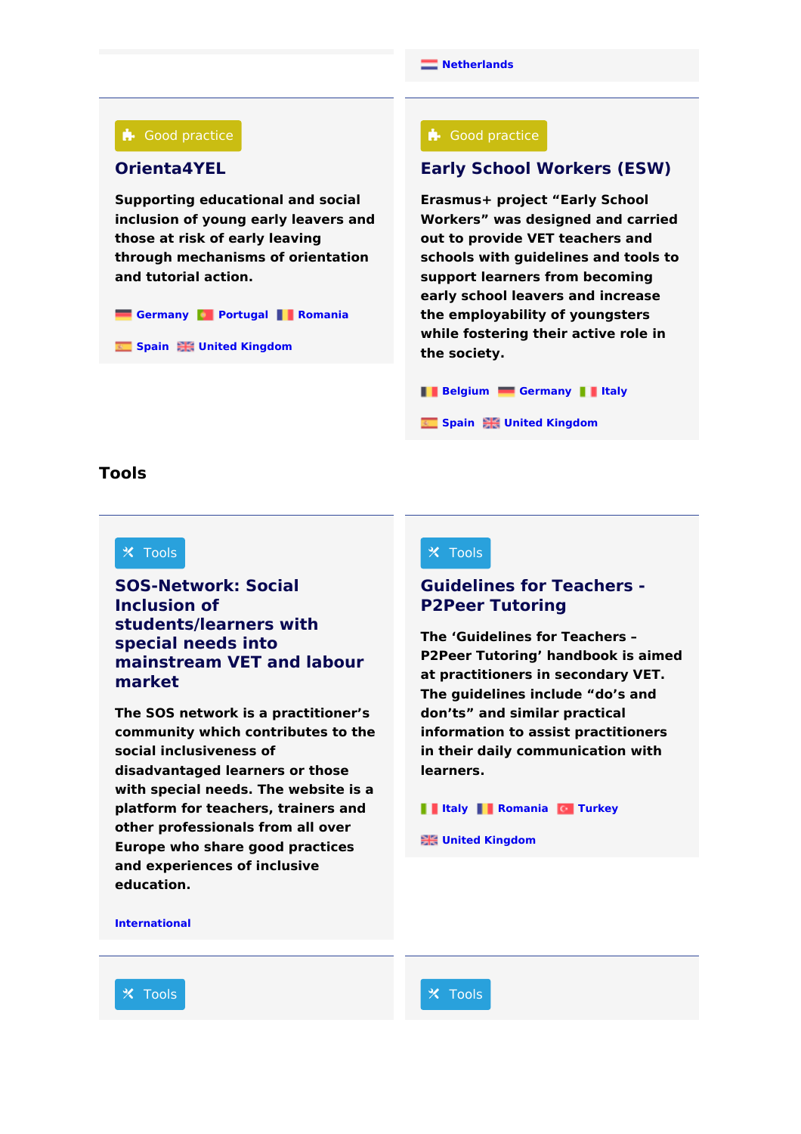#### **A** Good practice

### **[Orienta4YEL](https://www.cedefop.europa.eu/en/tools/vet-toolkit-tackling-early-leaving/resources/orienta4yel)**

**Supporting educational and social inclusion of young early leavers and those at risk of early leaving through mechanisms of orientation and tutorial action.**

**[Germany](https://www.cedefop.europa.eu/tools/vet-toolkit-tackling-early-leaving/resources?country%255B326%255D=326) [Portugal](https://www.cedefop.europa.eu/tools/vet-toolkit-tackling-early-leaving/resources?country%255B338%255D=338) [Romania](https://www.cedefop.europa.eu/tools/vet-toolkit-tackling-early-leaving/resources?country%255B339%255D=339)** 

**[Spain](https://www.cedefop.europa.eu/tools/vet-toolkit-tackling-early-leaving/resources?country%255B343%255D=343) United [Kingdom](https://www.cedefop.europa.eu/tools/vet-toolkit-tackling-early-leaving/resources?country%255B344%255D=344)**

#### **A** Good practice

## **Early School [Workers](https://www.cedefop.europa.eu/en/tools/vet-toolkit-tackling-early-leaving/resources/early-school-workers-esw) (ESW)**

**Erasmus+ project "Early School Workers" was designed and carried out to provide VET teachers and schools with guidelines and tools to support learners from becoming early school leavers and increase the employability of youngsters while fostering their active role in the society.**

**[Belgium](https://www.cedefop.europa.eu/tools/vet-toolkit-tackling-early-leaving/resources?country%255B318%255D=318) [Germany](https://www.cedefop.europa.eu/tools/vet-toolkit-tackling-early-leaving/resources?country%255B326%255D=326) [Italy](https://www.cedefop.europa.eu/tools/vet-toolkit-tackling-early-leaving/resources?country%255B331%255D=331)**

**[Spain](https://www.cedefop.europa.eu/tools/vet-toolkit-tackling-early-leaving/resources?country%255B343%255D=343) United [Kingdom](https://www.cedefop.europa.eu/tools/vet-toolkit-tackling-early-leaving/resources?country%255B344%255D=344)**

### **Tools**

#### $\times$  Tools

# **SOS-Network: Social Inclusion of [students/learners](https://www.cedefop.europa.eu/en/tools/vet-toolkit-tackling-early-leaving/resources/sos-network-social-inclusion-studentslearners) with special needs into mainstream VET and labour market**

**The SOS network is a practitioner's community which contributes to the social inclusiveness of disadvantaged learners or those with special needs. The website is a platform for teachers, trainers and other professionals from all over Europe who share good practices and experiences of inclusive education.**

#### $\times$  Tools

## **[Guidelines](https://www.cedefop.europa.eu/en/tools/vet-toolkit-tackling-early-leaving/resources/guidelines-teachers-p2peer-tutoring) for Teachers - P2Peer Tutoring**

**The 'Guidelines for Teachers – P2Peer Tutoring' handbook is aimed at practitioners in secondary VET. The guidelines include "do's and don'ts" and similar practical information to assist practitioners in their daily communication with learners.**

#### **III [Italy](https://www.cedefop.europa.eu/tools/vet-toolkit-tackling-early-leaving/resources?country%255B331%255D=331) [Romania](https://www.cedefop.europa.eu/tools/vet-toolkit-tackling-early-leaving/resources?country%255B339%255D=339) G** [Turkey](https://www.cedefop.europa.eu/tools/vet-toolkit-tackling-early-leaving/resources?country%255B350%255D=350)

**EXECUTED** United [Kingdom](https://www.cedefop.europa.eu/tools/vet-toolkit-tackling-early-leaving/resources?country%255B344%255D=344)

**[International](https://www.cedefop.europa.eu/tools/vet-toolkit-tackling-early-leaving/resources?country%255B348%255D=348)**

**※ Tools ※** Tools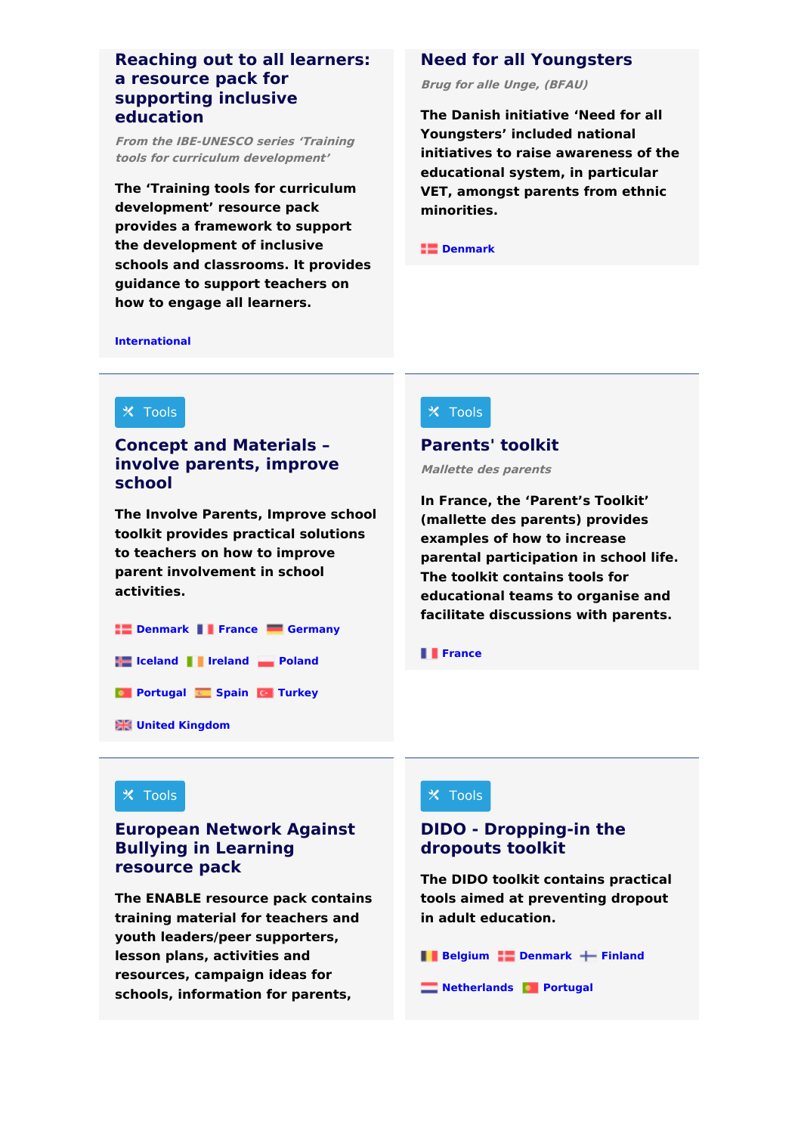## **Reaching out to all learners: a resource pack for [supporting](https://www.cedefop.europa.eu/en/tools/vet-toolkit-tackling-early-leaving/resources/reaching-out-all-learners-resource-pack) inclusive education**

**From the IBE-UNESCO series 'Training tools for curriculum development'**

**The 'Training tools for curriculum development' resource pack provides a framework to support the development of inclusive schools and classrooms. It provides guidance to support teachers on how to engage all learners.**

## **Need for all [Youngsters](https://www.cedefop.europa.eu/en/tools/vet-toolkit-tackling-early-leaving/resources/need-all-youngsters)**

**Brug for alle Unge, (BFAU)**

**The Danish initiative 'Need for all Youngsters' included national initiatives to raise awareness of the educational system, in particular VET, amongst parents from ethnic minorities.**

**COMPANY** 

**[International](https://www.cedefop.europa.eu/tools/vet-toolkit-tackling-early-leaving/resources?country%255B348%255D=348)**



# **Concept and [Materials](https://www.cedefop.europa.eu/en/tools/vet-toolkit-tackling-early-leaving/resources/concept-and-materials-involve-parents-improve) – involve parents, improve school**

**The Involve Parents, Improve school toolkit provides practical solutions to teachers on how to improve parent involvement in school activities.**

**[Denmark](https://www.cedefop.europa.eu/tools/vet-toolkit-tackling-early-leaving/resources?country%255B322%255D=322) [France](https://www.cedefop.europa.eu/tools/vet-toolkit-tackling-early-leaving/resources?country%255B325%255D=325) [Germany](https://www.cedefop.europa.eu/tools/vet-toolkit-tackling-early-leaving/resources?country%255B326%255D=326) [Iceland](https://www.cedefop.europa.eu/tools/vet-toolkit-tackling-early-leaving/resources?country%255B345%255D=345) [Ireland](https://www.cedefop.europa.eu/tools/vet-toolkit-tackling-early-leaving/resources?country%255B330%255D=330) [Poland](https://www.cedefop.europa.eu/tools/vet-toolkit-tackling-early-leaving/resources?country%255B337%255D=337) [Portugal](https://www.cedefop.europa.eu/tools/vet-toolkit-tackling-early-leaving/resources?country%255B338%255D=338) [Spain](https://www.cedefop.europa.eu/tools/vet-toolkit-tackling-early-leaving/resources?country%255B343%255D=343) [Turkey](https://www.cedefop.europa.eu/tools/vet-toolkit-tackling-early-leaving/resources?country%255B350%255D=350) Hall United [Kingdom](https://www.cedefop.europa.eu/tools/vet-toolkit-tackling-early-leaving/resources?country%255B344%255D=344)** 

## $\times$  Tools

## **[Parents'](https://www.cedefop.europa.eu/en/tools/vet-toolkit-tackling-early-leaving/resources/parents-toolkit) toolkit**

**Mallette des parents**

**In France, the 'Parent's Toolkit' (mallette des parents) provides examples of how to increase parental participation in school life. The toolkit contains tools for educational teams to organise and facilitate discussions with parents.**

#### **[France](https://www.cedefop.europa.eu/tools/vet-toolkit-tackling-early-leaving/resources?country%255B325%255D=325)**

### $\times$  Tools

## **[European](https://www.cedefop.europa.eu/en/tools/vet-toolkit-tackling-early-leaving/resources/european-network-against-bullying-learning-resource-pack) Network Against Bullying in Learning resource pack**

**The ENABLE resource pack contains training material for teachers and youth leaders/peer supporters, lesson plans, activities and resources, campaign ideas for schools, information for parents,**

## $\times$  Tools

# **DIDO - [Dropping-in](https://www.cedefop.europa.eu/en/tools/vet-toolkit-tackling-early-leaving/resources/dido-dropping-dropouts-toolkit) the dropouts toolkit**

**The DIDO toolkit contains practical tools aimed at preventing dropout in adult education.**

**[Belgium](https://www.cedefop.europa.eu/tools/vet-toolkit-tackling-early-leaving/resources?country%255B318%255D=318) [Denmark](https://www.cedefop.europa.eu/tools/vet-toolkit-tackling-early-leaving/resources?country%255B322%255D=322) + [Finland](https://www.cedefop.europa.eu/tools/vet-toolkit-tackling-early-leaving/resources?country%255B324%255D=324)** 

**[Netherlands](https://www.cedefop.europa.eu/tools/vet-toolkit-tackling-early-leaving/resources?country%255B336%255D=336) [Portugal](https://www.cedefop.europa.eu/tools/vet-toolkit-tackling-early-leaving/resources?country%255B338%255D=338)**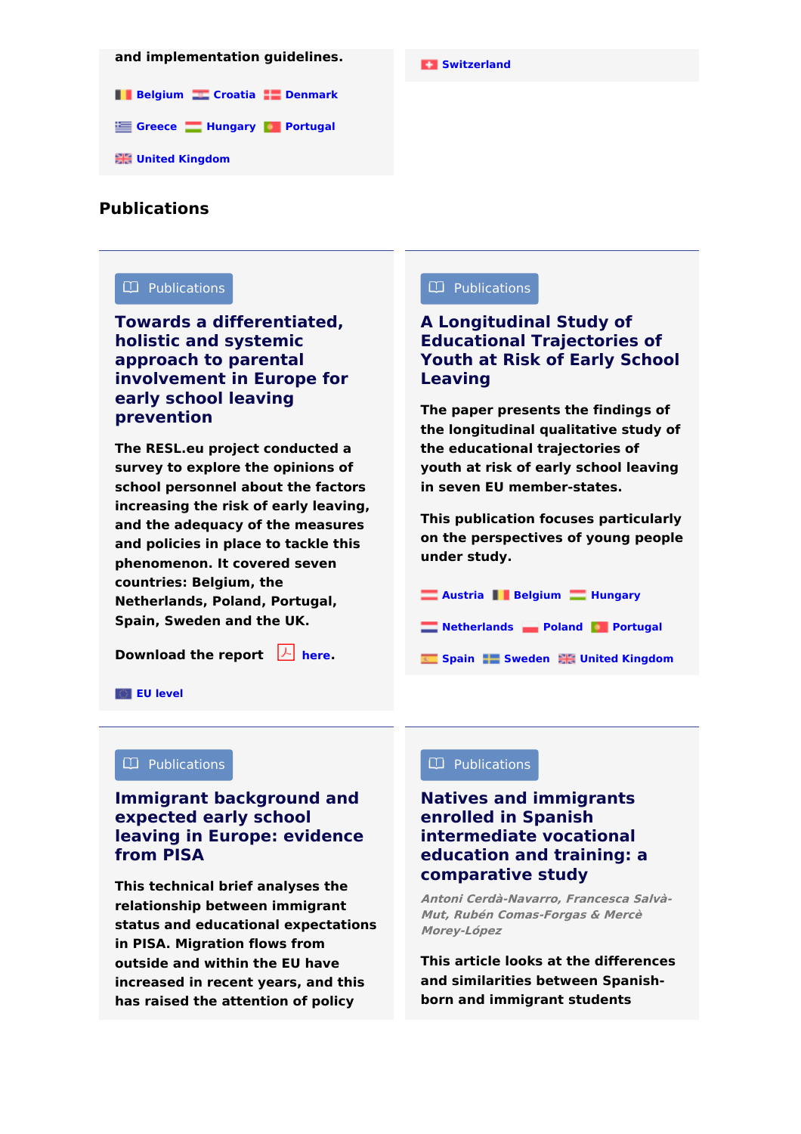# **and implementation guidelines. Comparently and implementation guidelines.**

**[Belgium](https://www.cedefop.europa.eu/tools/vet-toolkit-tackling-early-leaving/resources?country%255B318%255D=318) [Croatia](https://www.cedefop.europa.eu/tools/vet-toolkit-tackling-early-leaving/resources?country%255B329%255D=329) [Denmark](https://www.cedefop.europa.eu/tools/vet-toolkit-tackling-early-leaving/resources?country%255B322%255D=322)** 

**[Greece](https://www.cedefop.europa.eu/tools/vet-toolkit-tackling-early-leaving/resources?country%255B327%255D=327) [Hungary](https://www.cedefop.europa.eu/tools/vet-toolkit-tackling-early-leaving/resources?country%255B328%255D=328) [Portugal](https://www.cedefop.europa.eu/tools/vet-toolkit-tackling-early-leaving/resources?country%255B338%255D=338)** 

**United [Kingdom](https://www.cedefop.europa.eu/tools/vet-toolkit-tackling-early-leaving/resources?country%255B344%255D=344)**

## **Publications**

### Publications

**Towards a [differentiated,](https://www.cedefop.europa.eu/en/tools/vet-toolkit-tackling-early-leaving/resources/towards-differentiated-holistic-and-systemic) holistic and systemic approach to parental involvement in Europe for early school leaving prevention**

**The RESL.eu project conducted a survey to explore the opinions of school personnel about the factors increasing the risk of early leaving, and the adequacy of the measures and policies in place to tackle this phenomenon. It covered seven countries: Belgium, the Netherlands, Poland, Portugal, Spain, Sweden and the UK.**

**Download the report [here](http://urbact.eu/sites/default/files/media/policyrecommendationsreport.pdf).**

### Publications

# **A [Longitudinal](https://www.cedefop.europa.eu/en/tools/vet-toolkit-tackling-early-leaving/resources/longitudinal-study-educational-trajectories-youth-risk-early-school) Study of Educational Trajectories of Youth at Risk of Early School Leaving**

**The paper presents the findings of the longitudinal qualitative study of the educational trajectories of youth at risk of early school leaving in seven EU member-states.**

**This publication focuses particularly on the perspectives of young people under study.**

- **[Austria](https://www.cedefop.europa.eu/tools/vet-toolkit-tackling-early-leaving/resources?country%255B317%255D=317) [Belgium](https://www.cedefop.europa.eu/tools/vet-toolkit-tackling-early-leaving/resources?country%255B318%255D=318) [Hungary](https://www.cedefop.europa.eu/tools/vet-toolkit-tackling-early-leaving/resources?country%255B328%255D=328)**
- **[Netherlands](https://www.cedefop.europa.eu/tools/vet-toolkit-tackling-early-leaving/resources?country%255B336%255D=336) [Poland](https://www.cedefop.europa.eu/tools/vet-toolkit-tackling-early-leaving/resources?country%255B337%255D=337) [Portugal](https://www.cedefop.europa.eu/tools/vet-toolkit-tackling-early-leaving/resources?country%255B338%255D=338)**
- **[Spain](https://www.cedefop.europa.eu/tools/vet-toolkit-tackling-early-leaving/resources?country%255B343%255D=343) [Sweden](https://www.cedefop.europa.eu/tools/vet-toolkit-tackling-early-leaving/resources?country%255B342%255D=342) United [Kingdom](https://www.cedefop.europa.eu/tools/vet-toolkit-tackling-early-leaving/resources?country%255B344%255D=344)**

#### **EU [level](https://www.cedefop.europa.eu/tools/vet-toolkit-tackling-early-leaving/resources?country%255B347%255D=347)**

#### $\Box$  Publications

# **Immigrant [background](https://www.cedefop.europa.eu/en/tools/vet-toolkit-tackling-early-leaving/resources/immigrant-background-and-expected-early-school-leaving-europe-evidence) and expected early school leaving in Europe: evidence from PISA**

**This technical brief analyses the relationship between immigrant status and educational expectations in PISA. Migration flows from outside and within the EU have increased in recent years, and this has raised the attention of policy**

## $\Box$  Publications  $\Box$  Publications

# **Natives and immigrants enrolled in Spanish [intermediate](https://www.cedefop.europa.eu/en/tools/vet-toolkit-tackling-early-leaving/resources/natives-and-immigrants-enrolled-spanish-intermediate-vocational-education) vocational education and training: a comparative study**

**Antoni Cerdà-Navarro, Francesca Salvà-Mut, Rubén Comas-Forgas & Mercè Morey-López**

**This article looks at the differences and similarities between Spanishborn and immigrant students**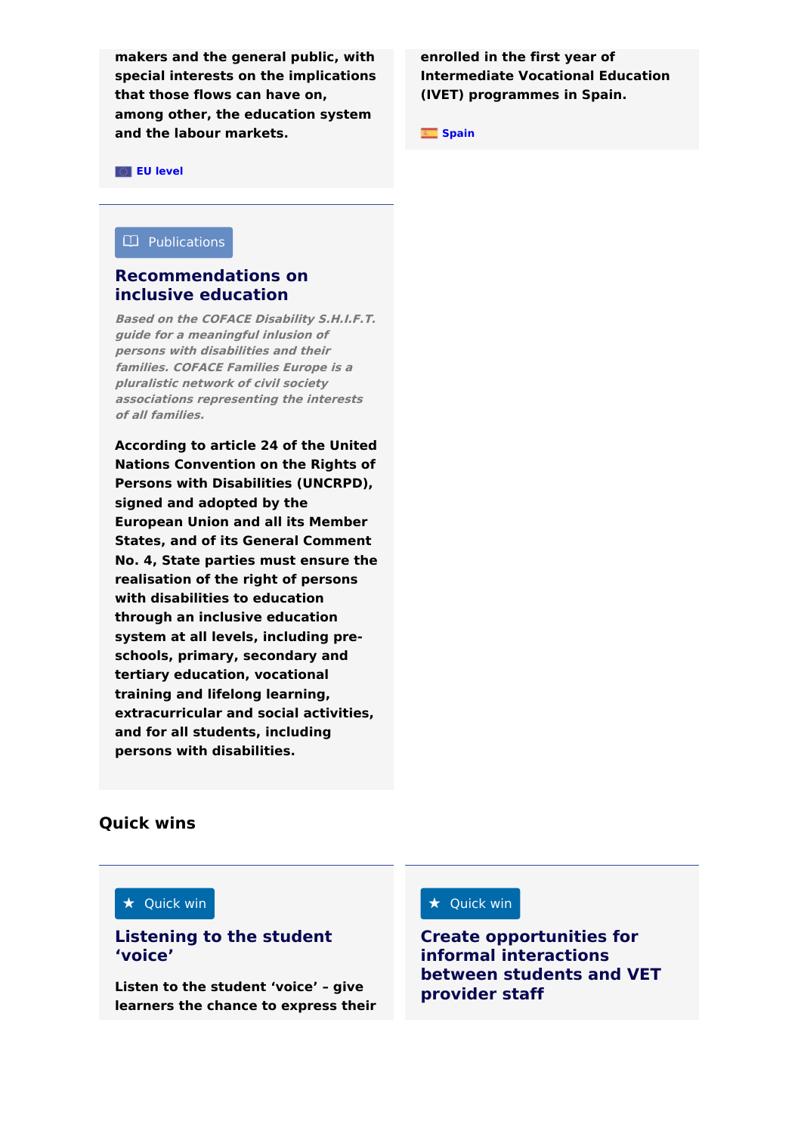**makers and the general public, with special interests on the implications that those flows can have on, among other, the education system and the labour markets. [Spain](https://www.cedefop.europa.eu/tools/vet-toolkit-tackling-early-leaving/resources?country%255B343%255D=343) Spain** 

**enrolled in the first year of Intermediate Vocational Education (IVET) programmes in Spain.**

**EU [level](https://www.cedefop.europa.eu/tools/vet-toolkit-tackling-early-leaving/resources?country%255B347%255D=347)**

#### Publications

### **[Recommendations](https://www.cedefop.europa.eu/en/tools/vet-toolkit-tackling-early-leaving/resources/recommendations-inclusive-education) on inclusive education**

**Based on the COFACE Disability S.H.I.F.T. guide for <sup>a</sup> meaningful inlusion of persons with disabilities and their families. COFACE Families Europe is <sup>a</sup> pluralistic network of civil society associations representing the interests of all families.**

**According to article 24 of the United Nations Convention on the Rights of Persons with Disabilities (UNCRPD), signed and adopted by the European Union and all its Member States, and of its General Comment No. 4, State parties must ensure the realisation of the right of persons with disabilities to education through an inclusive education system at all levels, including preschools, primary, secondary and tertiary education, vocational training and lifelong learning, extracurricular and social activities, and for all students, including persons with disabilities.**

### **Quick wins**

#### $\star$  Quick win

## **[Listening](https://www.cedefop.europa.eu/en/tools/vet-toolkit-tackling-early-leaving/resources/listening-student-voice) to the student 'voice'**

**Listen to the student 'voice' – give learners the chance to express their**

#### $\star$  Quick win  $\star$  Quick win

**Create [opportunities](https://www.cedefop.europa.eu/en/tools/vet-toolkit-tackling-early-leaving/resources/create-opportunities-informal-interactions) for informal interactions between students and VET provider staff**